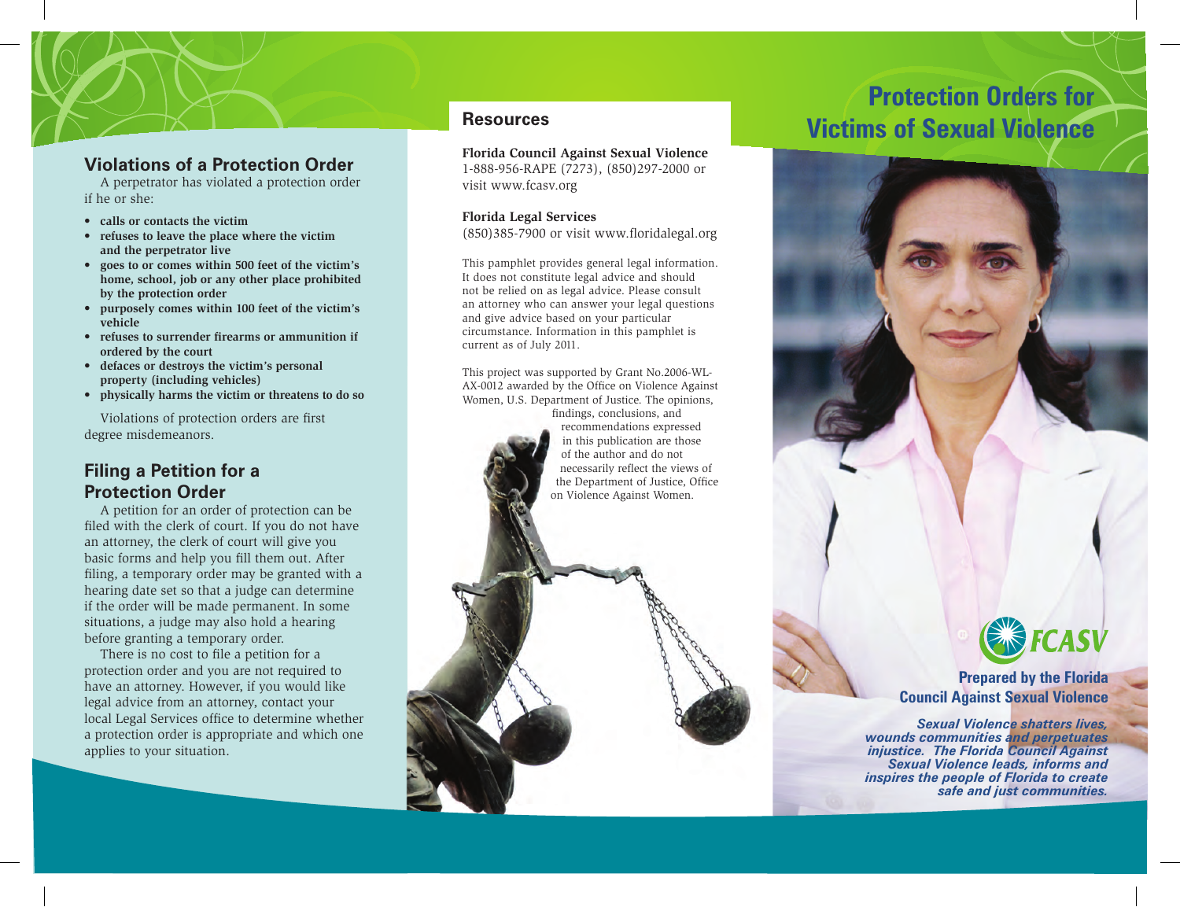### **Violations of a Protection Order**

A perpetrator has violated a protection order if he or she:

- **calls or contacts the victim**
- **refuses to leave the place where the victim and the perpetrator live**
- **goes to or comes within 500 feet of the victim's home, school, job or any other place prohibited by the protection order**
- **purposely comes within 100 feet of the victim's vehicle**
- refuses to surrender firearms or ammunition if **ordered by the court**
- **defaces or destroys the victim's personal property (including vehicles)**
- **physically harms the victim or threatens to do so**

Violations of protection orders are first degree misdemeanors.

# **Filing a Petition for a Protection Order**

A petition for an order of protection can be filed with the clerk of court. If you do not have an attorney, the clerk of court will give you basic forms and help you fill them out. After filing, a temporary order may be granted with a hearing date set so that a judge can determine if the order will be made permanent. In some situations, a judge may also hold a hearing before granting a temporary order.

There is no cost to file a petition for a protection order and you are not required to have an attorney. However, if you would like legal advice from an attorney, contact your local Legal Services office to determine whether a protection order is appropriate and which one applies to your situation.

**Florida Council Against Sexual Violence** 1-888-956-RAPE (7273), (850)297-2000 or visit www.fcasv.org

#### **Florida Legal Services**

 $(850)385-7900$  or visit www.floridalegal.org

This pamphlet provides general legal information. It does not constitute legal advice and should not be relied on as legal advice. Please consult an attorney who can answer your legal questions and give advice based on your particular circumstance. Information in this pamphlet is current as of July 2011.

This project was supported by Grant No.2006-WL-AX-0012 awarded by the Office on Violence Against Women, U.S. Department of Justice. The opinions,

> findings, conclusions, and recommendations expressed in this publication are those of the author and do not necessarily reflect the views of the Department of Justice, Office on Violence Against Women.

# **Protection Orders for**  Resources **Resources Resources Resources Resources Resources Resources Resource Resource Resource Resource Resource Resource Resource Resource Resource Resource Resource Resource Resourc**



# **EXPECASV**

#### **Prepared by the Florida Council Against Sexual Violence**

 *Sexual Violence shatters lives, wounds communities and perpetuates injustice. The Florida Council Against Sexual Violence leads, informs and inspires the people of Florida to create safe and just communities.*